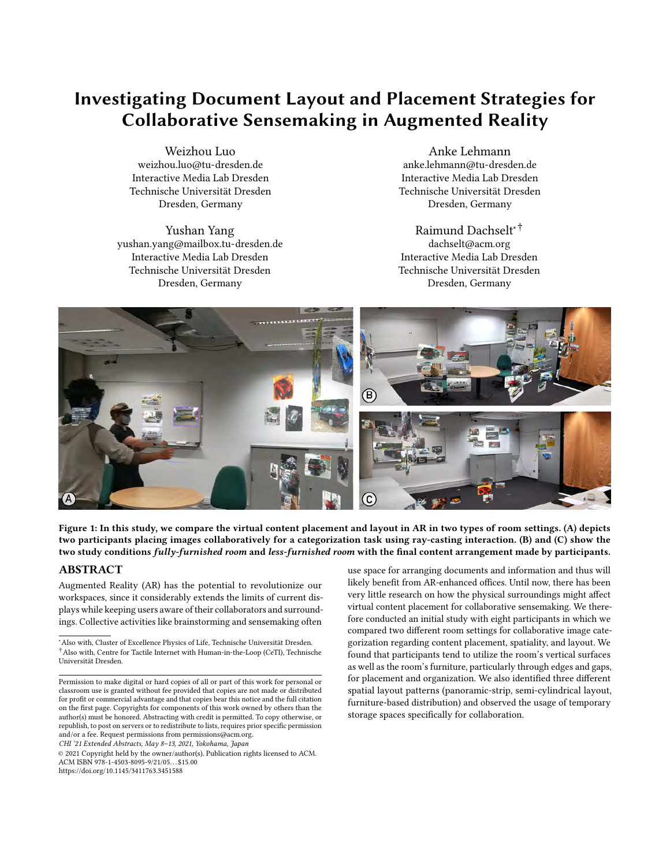# Investigating Document Layout and Placement Strategies for Collaborative Sensemaking in Augmented Reality

 Weizhou Luo Interactive Media Lab Dresden Technische Universität Dresden Dresden, Germany [weizhou.luo@tu-dresden.de](mailto:weizhou.luo@tu-dresden.de)

 Yushan Yang Interactive Media Lab Dresden Technische Universität Dresden Dresden, Germany [yushan.yang@mailbox.tu-dresden.de](mailto:yushan.yang@mailbox.tu-dresden.de)

 Anke Lehmann Interactive Media Lab Dresden Technische Universität Dresden Dresden, Germany [anke.lehmann@tu-dresden.de](mailto:anke.lehmann@tu-dresden.de)

 Interactive Media Lab Dresden Technische Universität Dresden Dresden, Germany Raimund Dachselt∗† [dachselt@acm.org](mailto:dachselt@acm.org)

<span id="page-0-0"></span>

 Figure 1: In this study, we compare the virtual content placement and layout in AR in two types of room settings. (A) depicts two participants placing images collaboratively for a categorization task using ray-casting interaction. (B) and (C) show the two study conditions *fully-furnished room* and *less-furnished room* with the final content arrangement made by participants.

# ABSTRACT

 Augmented Reality (AR) has the potential to revolutionize our workspaces, since it considerably extends the limits of current dis- plays while keeping users aware of their collaborators and surround-ings. Collective activities like brainstorming and sensemaking often

CHI '21 Extended Abstracts, May 8–13, 2021, Yokohama, Japan

 © 2021 Copyright held by the owner/author(s). Publication rights licensed to ACM. ACM ISBN 978-1-4503-8095-9/21/05. . . \$15.00 <https://doi.org/10.1145/3411763.3451588>

 use space for arranging documents and information and thus will likely benefit from AR-enhanced offices. Until now, there has been very little research on how the physical surroundings might afect virtual content placement for collaborative sensemaking. We there- fore conducted an initial study with eight participants in which we compared two diferent room settings for collaborative image cate- gorization regarding content placement, spatiality, and layout. We found that participants tend to utilize the room's vertical surfaces as well as the room's furniture, particularly through edges and gaps, for placement and organization. We also identifed three diferent spatial layout patterns (panoramic-strip, semi-cylindrical layout, furniture-based distribution) and observed the usage of temporary storage spaces specifcally for collaboration.

 ∗ Also with, Cluster of Excellence Physics of Life, Technische Universität Dresden. †Also with, Centre for Tactile Internet with Human-in-the-Loop (CeTI), Technische Universität Dresden.

 Permission to make digital or hard copies of all or part of this work for personal or classroom use is granted without fee provided that copies are not made or distributed for proft or commercial advantage and that copies bear this notice and the full citation on the frst page. Copyrights for components of this work owned by others than the author(s) must be honored. Abstracting with credit is permitted. To copy otherwise, or republish, to post on servers or to redistribute to lists, requires prior specifc permission and/or a fee. Request permissions from [permissions@acm.org](mailto:permissions@acm.org).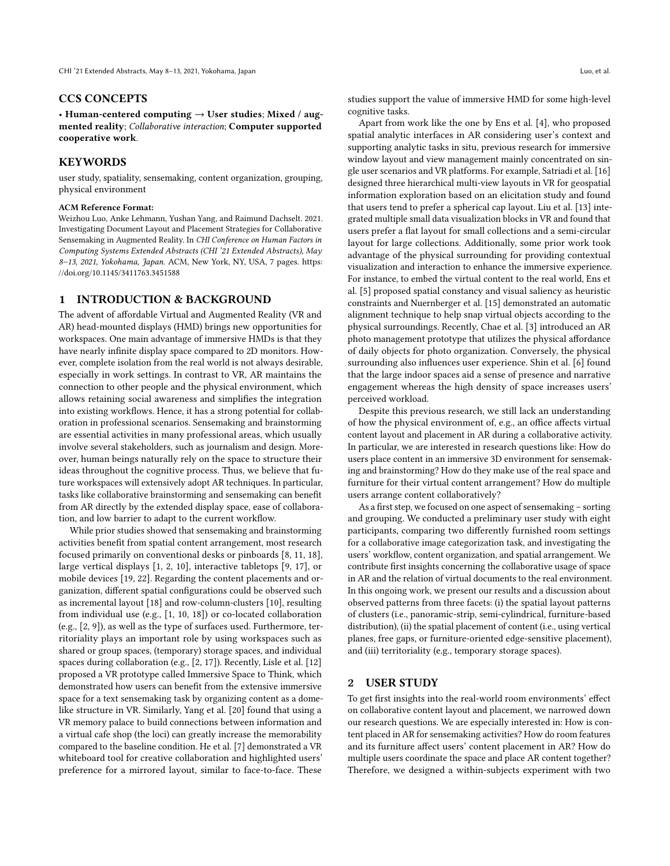#### CCS CONCEPTS

• Human-centered computing  $\rightarrow$  User studies; Mixed / augmented reality; Collaborative interaction; Computer supported cooperative work.

# **KEYWORDS**

 user study, spatiality, sensemaking, content organization, grouping, physical environment

#### ACM Reference Format:

 Weizhou Luo, Anke Lehmann, Yushan Yang, and Raimund Dachselt. 2021. Investigating Document Layout and Placement Strategies for Collaborative Sensemaking in Augmented Reality. In CHI Conference on Human Factors in Computing Systems Extended Abstracts (CHI '21 Extended Abstracts), May 8-13, 2021, Yokohama, Japan. ACM, New York, NY, USA, [7](#page-6-0) pages. [https:](https://doi.org/10.1145/3411763.3451588) [//doi.org/10.1145/3411763.3451588](https://doi.org/10.1145/3411763.3451588)

# 1 INTRODUCTION & BACKGROUND

 The advent of afordable Virtual and Augmented Reality (VR and AR) head-mounted displays (HMD) brings new opportunities for workspaces. One main advantage of immersive HMDs is that they have nearly infnite display space compared to 2D monitors. How- ever, complete isolation from the real world is not always desirable, especially in work settings. In contrast to VR, AR maintains the connection to other people and the physical environment, which allows retaining social awareness and simplifes the integration into existing workflows. Hence, it has a strong potential for collab- oration in professional scenarios. Sensemaking and brainstorming are essential activities in many professional areas, which usually involve several stakeholders, such as journalism and design. More- over, human beings naturally rely on the space to structure their ideas throughout the cognitive process. Thus, we believe that fu- ture workspaces will extensively adopt AR techniques. In particular, tasks like collaborative brainstorming and sensemaking can beneft from AR directly by the extended display space, ease of collaboration, and low barrier to adapt to the current workflow.

 While prior studies showed that sensemaking and brainstorming activities beneft from spatial content arrangement, most research focused primarily on conventional desks or pinboards [\[8,](#page-5-0) [11,](#page-6-1) [18\]](#page-6-2), large vertical displays [\[1,](#page-5-1) [2,](#page-5-2) [10\]](#page-5-3), interactive tabletops [\[9,](#page-5-4) [17\]](#page-6-3), or mobile devices [\[19,](#page-6-4) [22\]](#page-6-5). Regarding the content placements and or- ganization, diferent spatial confgurations could be observed such as incremental layout [\[18\]](#page-6-2) and row-column-clusters [\[10\]](#page-5-3), resulting from individual use (e.g., [\[1,](#page-5-1) [10,](#page-5-3) [18\]](#page-6-2)) or co-located collaboration (e.g., [\[2,](#page-5-2) [9\]](#page-5-4)), as well as the type of surfaces used. Furthermore, ter- ritoriality plays an important role by using workspaces such as shared or group spaces, (temporary) storage spaces, and individual spaces during collaboration (e.g., [\[2,](#page-5-2) [17\]](#page-6-3)). Recently, Lisle et al. [\[12\]](#page-6-6) proposed a VR prototype called Immersive Space to Think, which demonstrated how users can beneft from the extensive immersive space for a text sensemaking task by organizing content as a dome- like structure in VR. Similarly, Yang et al. [\[20\]](#page-6-7) found that using a VR memory palace to build connections between information and a virtual cafe shop (the loci) can greatly increase the memorability compared to the baseline condition. He et al. [\[7\]](#page-5-5) demonstrated a VR whiteboard tool for creative collaboration and highlighted users' preference for a mirrored layout, similar to face-to-face. These

Luo, et al.

 studies support the value of immersive HMD for some high-level cognitive tasks.

 Apart from work like the one by Ens et al. [\[4\]](#page-5-6), who proposed spatial analytic interfaces in AR considering user's context and supporting analytic tasks in situ, previous research for immersive window layout and view management mainly concentrated on sin- gle user scenarios and VR platforms. For example, Satriadi et al. [\[16\]](#page-6-8) designed three hierarchical multi-view layouts in VR for geospatial information exploration based on an elicitation study and found that users tend to prefer a spherical cap layout. Liu et al. [\[13\]](#page-6-9) inte- grated multiple small data visualization blocks in VR and found that users prefer a fat layout for small collections and a semi-circular layout for large collections. Additionally, some prior work took advantage of the physical surrounding for providing contextual visualization and interaction to enhance the immersive experience. For instance, to embed the virtual content to the real world, Ens et al. [\[5\]](#page-5-7) proposed spatial constancy and visual saliency as heuristic constraints and Nuernberger et al. [\[15\]](#page-6-10) demonstrated an automatic alignment technique to help snap virtual objects according to the physical surroundings. Recently, Chae et al. [\[3\]](#page-5-8) introduced an AR photo management prototype that utilizes the physical afordance of daily objects for photo organization. Conversely, the physical surrounding also infuences user experience. Shin et al. [\[6\]](#page-5-9) found that the large indoor spaces aid a sense of presence and narrative engagement whereas the high density of space increases users' perceived workload.

 Despite this previous research, we still lack an understanding of how the physical environment of, e.g., an office affects virtual content layout and placement in AR during a collaborative activity. In particular, we are interested in research questions like: How do users place content in an immersive 3D environment for sensemak- ing and brainstorming? How do they make use of the real space and furniture for their virtual content arrangement? How do multiple users arrange content collaboratively?

As a first step, we focused on one aspect of sensemaking – sorting and grouping. We conducted a preliminary user study with eight participants, comparing two diferently furnished room settings for a collaborative image categorization task, and investigating the users' workflow, content organization, and spatial arrangement. We contribute frst insights concerning the collaborative usage of space in AR and the relation of virtual documents to the real environment. In this ongoing work, we present our results and a discussion about observed patterns from three facets: (i) the spatial layout patterns of clusters (i.e., panoramic-strip, semi-cylindrical, furniture-based distribution), (ii) the spatial placement of content (i.e., using vertical planes, free gaps, or furniture-oriented edge-sensitive placement), and (iii) territoriality (e.g., temporary storage spaces).

#### 2 **USER STUDY**

 To get frst insights into the real-world room environments' efect on collaborative content layout and placement, we narrowed down our research questions. We are especially interested in: How is con- tent placed in AR for sensemaking activities? How do room features and its furniture afect users' content placement in AR? How do multiple users coordinate the space and place AR content together? Therefore, we designed a within-subjects experiment with two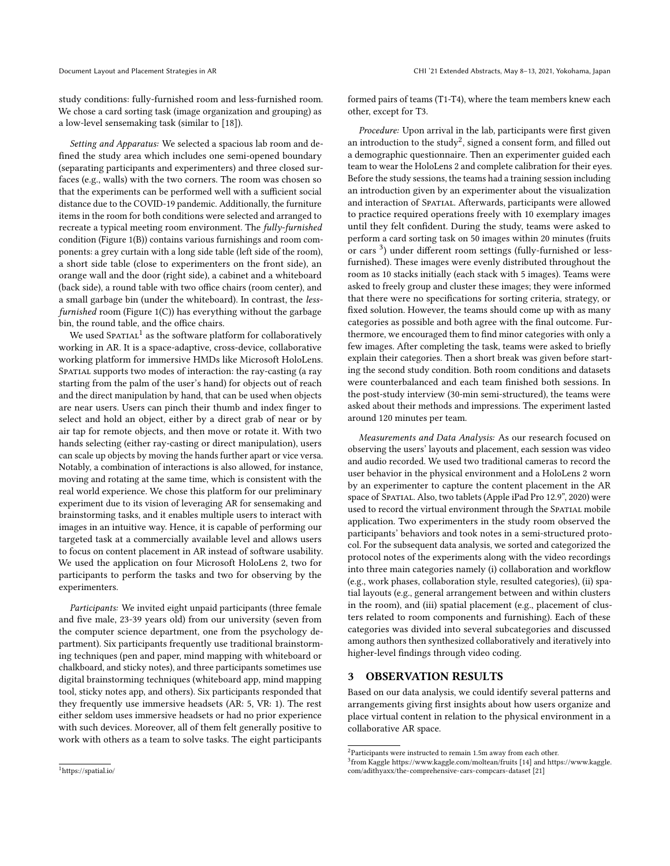study conditions: fully-furnished room and less-furnished room. We chose a card sorting task (image organization and grouping) as a low-level sensemaking task (similar to [\[18\]](#page-6-2)).

Setting and Apparatus: We selected a spacious lab room and de- fned the study area which includes one semi-opened boundary (separating participants and experimenters) and three closed sur- faces (e.g., walls) with the two corners. The room was chosen so that the experiments can be performed well with a sufficient social distance due to the COVID-19 pandemic. Additionally, the furniture items in the room for both conditions were selected and arranged to recreate a typical meeting room environment. The *fully-furnished*  condition [\(Figure](#page-0-0) 1(B)) contains various furnishings and room com- ponents: a grey curtain with a long side table (left side of the room), a short side table (close to experimenters on the front side), an orange wall and the door (right side), a cabinet and a whiteboard (back side), a round table with two office chairs (room center), and a small garbage bin (under the whiteboard). In contrast, the less-furnished room [\(Figure](#page-0-0) 1(C)) has everything without the garbage bin, the round table, and the office chairs.

We used SPATIAL<sup>1</sup> as the software platform for collaboratively working in AR. It is a space-adaptive, cross-device, collaborative working platform for immersive HMDs like Microsoft HoloLens. SPATIAL supports two modes of interaction: the ray-casting (a ray starting from the palm of the user's hand) for objects out of reach and the direct manipulation by hand, that can be used when objects are near users. Users can pinch their thumb and index fnger to select and hold an object, either by a direct grab of near or by air tap for remote objects, and then move or rotate it. With two hands selecting (either ray-casting or direct manipulation), users can scale up objects by moving the hands further apart or vice versa. Notably, a combination of interactions is also allowed, for instance, moving and rotating at the same time, which is consistent with the real world experience. We chose this platform for our preliminary experiment due to its vision of leveraging AR for sensemaking and brainstorming tasks, and it enables multiple users to interact with images in an intuitive way. Hence, it is capable of performing our targeted task at a commercially available level and allows users to focus on content placement in AR instead of software usability. We used the application on four Microsoft HoloLens 2, two for participants to perform the tasks and two for observing by the experimenters.

Participants: We invited eight unpaid participants (three female and fve male, 23-39 years old) from our university (seven from the computer science department, one from the psychology de- partment). Six participants frequently use traditional brainstorm- ing techniques (pen and paper, mind mapping with whiteboard or chalkboard, and sticky notes), and three participants sometimes use digital brainstorming techniques (whiteboard app, mind mapping tool, sticky notes app, and others). Six participants responded that they frequently use immersive headsets (AR: 5, VR: 1). The rest either seldom uses immersive headsets or had no prior experience with such devices. Moreover, all of them felt generally positive to work with others as a team to solve tasks. The eight participants

 formed pairs of teams (T1-T4), where the team members knew each other, except for T3.

Procedure: Upon arrival in the lab, participants were first given an introduction to the study<sup>2</sup>, signed a consent form, and filled out a demographic questionnaire. Then an experimenter guided each team to wear the HoloLens 2 and complete calibration for their eyes. Before the study sessions, the teams had a training session including an introduction given by an experimenter about the visualization and interaction of SPATIAL. Afterwards, participants were allowed to practice required operations freely with 10 exemplary images until they felt confdent. During the study, teams were asked to perform a card sorting task on 50 images within 20 minutes (fruits or cars [3\)](#page-2-2) under diferent room settings (fully-furnished or less- furnished). These images were evenly distributed throughout the room as 10 stacks initially (each stack with 5 images). Teams were asked to freely group and cluster these images; they were informed that there were no specifcations for sorting criteria, strategy, or fxed solution. However, the teams should come up with as many categories as possible and both agree with the fnal outcome. Fur- thermore, we encouraged them to fnd minor categories with only a few images. After completing the task, teams were asked to briefy explain their categories. Then a short break was given before start- ing the second study condition. Both room conditions and datasets were counterbalanced and each team fnished both sessions. In the post-study interview (30-min semi-structured), the teams were asked about their methods and impressions. The experiment lasted around 120 minutes per team.

 Measurements and Data Analysis: As our research focused on observing the users' layouts and placement, each session was video and audio recorded. We used two traditional cameras to record the user behavior in the physical environment and a HoloLens 2 worn by an experimenter to capture the content placement in the AR space of Spatial. Also, two tablets (Apple iPad Pro 12.9", 2020) were used to record the virtual environment through the SPATIAL mobile application. Two experimenters in the study room observed the participants' behaviors and took notes in a semi-structured proto- col. For the subsequent data analysis, we sorted and categorized the protocol notes of the experiments along with the video recordings into three main categories namely (i) collaboration and workflow (e.g., work phases, collaboration style, resulted categories), (ii) spa- tial layouts (e.g., general arrangement between and within clusters in the room), and (iii) spatial placement (e.g., placement of clus- ters related to room components and furnishing). Each of these categories was divided into several subcategories and discussed among authors then synthesized collaboratively and iteratively into higher-level fndings through video coding.

# 3 OBSERVATION RESULTS

 Based on our data analysis, we could identify several patterns and arrangements giving frst insights about how users organize and place virtual content in relation to the physical environment in a collaborative AR space.

 CHI '21 Extended Abstracts, May 8–13, 2021, Yokohama, Japan

<span id="page-2-1"></span> $^{2}$ Participants were instructed to remain 1.5m away from each other.

<span id="page-2-2"></span> 3from Kaggle <https://www.kaggle.com/moltean/fruits> [\[14\]](#page-6-11) and [https://www.kaggle.](https://www.kaggle.com/adithyaxx/the-comprehensive-cars-compcars-dataset) [com/adithyaxx/the-comprehensive-cars-compcars-dataset](https://www.kaggle.com/adithyaxx/the-comprehensive-cars-compcars-dataset) [\[21\]](#page-6-12)

<span id="page-2-0"></span>[<sup>1</sup>](https://1https://spatial.io)<https://spatial.io/>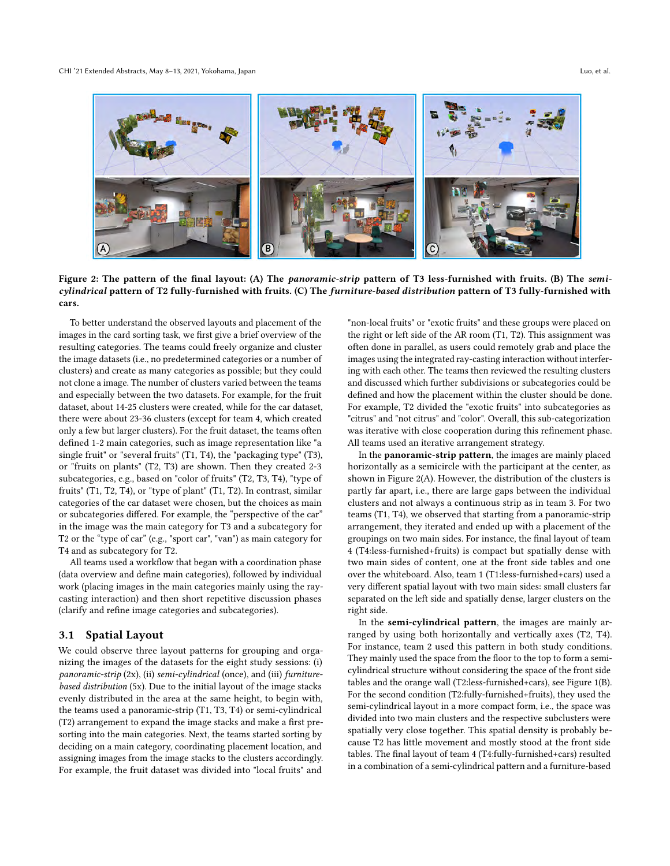<span id="page-3-0"></span>

Figure 2: The pattern of the final layout: (A) The *panoramic-strip* pattern of T3 less-furnished with fruits. (B) The *semi-* cylindrical pattern of T2 fully-furnished with fruits. (C) The furniture-based distribution pattern of T3 fully-furnished with cars.

 To better understand the observed layouts and placement of the images in the card sorting task, we frst give a brief overview of the resulting categories. The teams could freely organize and cluster the image datasets (i.e., no predetermined categories or a number of clusters) and create as many categories as possible; but they could not clone a image. The number of clusters varied between the teams and especially between the two datasets. For example, for the fruit dataset, about 14-25 clusters were created, while for the car dataset, there were about 23-36 clusters (except for team 4, which created only a few but larger clusters). For the fruit dataset, the teams often defned 1-2 main categories, such as image representation like "a single fruit" or "several fruits" (T1, T4), the "packaging type" (T3), or "fruits on plants" (T2, T3) are shown. Then they created 2-3 subcategories, e.g., based on "color of fruits" (T2, T3, T4), "type of fruits" (T1, T2, T4), or "type of plant" (T1, T2). In contrast, similar categories of the car dataset were chosen, but the choices as main or subcategories difered. For example, the "perspective of the car" in the image was the main category for T3 and a subcategory for T2 or the "type of car" (e.g., "sport car", "van") as main category for T4 and as subcategory for T2.

All teams used a workflow that began with a coordination phase (data overview and defne main categories), followed by individual work (placing images in the main categories mainly using the ray- casting interaction) and then short repetitive discussion phases (clarify and refne image categories and subcategories).

# 3.1 Spatial Layout

 We could observe three layout patterns for grouping and orga- nizing the images of the datasets for the eight study sessions: (i) panoramic-strip (2x), (ii) semi-cylindrical (once), and (iii) furniture- based distribution (5x). Due to the initial layout of the image stacks evenly distributed in the area at the same height, to begin with, the teams used a panoramic-strip (T1, T3, T4) or semi-cylindrical (T2) arrangement to expand the image stacks and make a frst pre- sorting into the main categories. Next, the teams started sorting by deciding on a main category, coordinating placement location, and assigning images from the image stacks to the clusters accordingly. For example, the fruit dataset was divided into "local fruits" and

 "non-local fruits" or "exotic fruits" and these groups were placed on the right or left side of the AR room (T1, T2). This assignment was often done in parallel, as users could remotely grab and place the images using the integrated ray-casting interaction without interfer- ing with each other. The teams then reviewed the resulting clusters and discussed which further subdivisions or subcategories could be defned and how the placement within the cluster should be done. For example, T2 divided the "exotic fruits" into subcategories as "citrus" and "not citrus" and "color". Overall, this sub-categorization was iterative with close cooperation during this refnement phase. All teams used an iterative arrangement strategy.

In the **panoramic-strip pattern**, the images are mainly placed horizontally as a semicircle with the participant at the center, as shown in [Figure](#page-3-0) 2(A). However, the distribution of the clusters is partly far apart, i.e., there are large gaps between the individual clusters and not always a continuous strip as in team 3. For two teams (T1, T4), we observed that starting from a panoramic-strip arrangement, they iterated and ended up with a placement of the groupings on two main sides. For instance, the fnal layout of team 4 (T4:less-furnished+fruits) is compact but spatially dense with two main sides of content, one at the front side tables and one over the whiteboard. Also, team 1 (T1:less-furnished+cars) used a very diferent spatial layout with two main sides: small clusters far separated on the left side and spatially dense, larger clusters on the right side.

In the semi-cylindrical pattern, the images are mainly ar- ranged by using both horizontally and vertically axes (T2, T4). For instance, team 2 used this pattern in both study conditions. They mainly used the space from the floor to the top to form a semi- cylindrical structure without considering the space of the front side tables and the orange wall (T2:less-furnished+cars), see [Figure](#page-0-0) 1(B). For the second condition (T2:fully-furnished+fruits), they used the semi-cylindrical layout in a more compact form, i.e., the space was divided into two main clusters and the respective subclusters were spatially very close together. This spatial density is probably be- cause T2 has little movement and mostly stood at the front side tables. The fnal layout of team 4 (T4:fully-furnished+cars) resulted in a combination of a semi-cylindrical pattern and a furniture-based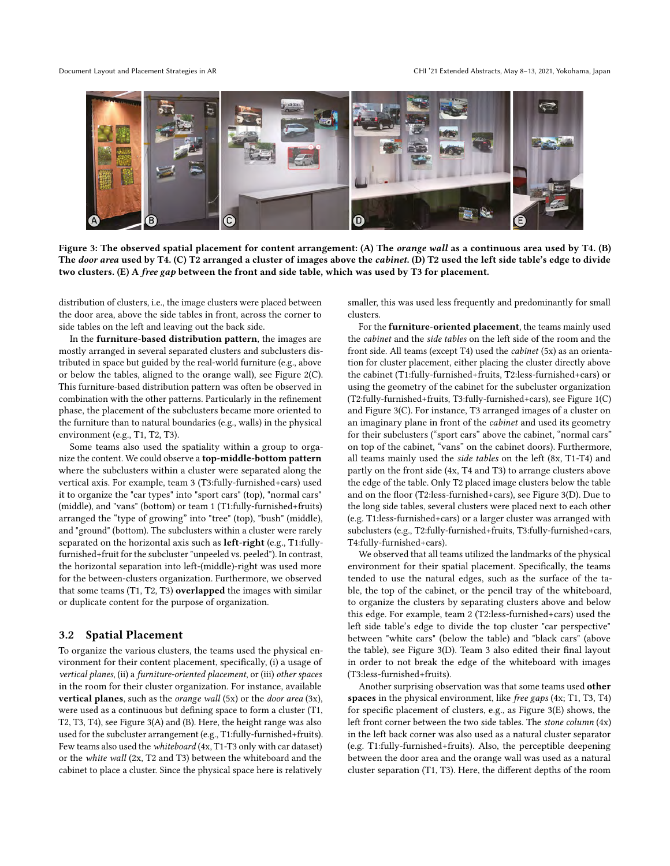#### Document Layout and Placement Strategies in AR

<span id="page-4-0"></span>

Figure 3: The observed spatial placement for content arrangement: (A) The *orange wall* as a continuous area used by T4. (B) The door area used by T4. (C) T2 arranged a cluster of images above the cabinet. (D) T2 used the left side table's edge to divide two clusters. (E) A *free gap* between the front and side table, which was used by T3 for placement.

 distribution of clusters, i.e., the image clusters were placed between the door area, above the side tables in front, across the corner to side tables on the left and leaving out the back side.

In the furniture-based distribution pattern, the images are mostly arranged in several separated clusters and subclusters dis- tributed in space but guided by the real-world furniture (e.g., above or below the tables, aligned to the orange wall), see [Figure](#page-3-0) 2(C). This furniture-based distribution pattern was often be observed in combination with the other patterns. Particularly in the refnement phase, the placement of the subclusters became more oriented to the furniture than to natural boundaries (e.g., walls) in the physical environment (e.g., T1, T2, T3).

 Some teams also used the spatiality within a group to organize the content. We could observe a top-middle-bottom pattern where the subclusters within a cluster were separated along the vertical axis. For example, team 3 (T3:fully-furnished+cars) used it to organize the "car types" into "sport cars" (top), "normal cars" (middle), and "vans" (bottom) or team 1 (T1:fully-furnished+fruits) arranged the "type of growing" into "tree" (top), "bush" (middle), and "ground" (bottom). The subclusters within a cluster were rarely separated on the horizontal axis such as *left-right* (e.g., T1:fullyfurnished+fruit for the subcluster "unpeeled vs. peeled"). In contrast, the horizontal separation into left-(middle)-right was used more for the between-clusters organization. Furthermore, we observed that some teams  $(T1, T2, T3)$  overlapped the images with similar or duplicate content for the purpose of organization.

#### $3.2$ **Spatial Placement**

 To organize the various clusters, the teams used the physical en- vironment for their content placement, specifcally, (i) a usage of vertical planes, (ii) a furniture-oriented placement, or (iii) other spaces in the room for their cluster organization. For instance, available vertical planes, such as the *orange wall*  $(5x)$  or the *door area*  $(3x)$ , were used as a continuous but defning space to form a cluster (T1, T2, T3, T4), see [Figure](#page-4-0) 3(A) and (B). Here, the height range was also used for the subcluster arrangement (e.g., T1:fully-furnished+fruits). Few teams also used the whiteboard (4x, T1-T3 only with car dataset) or the white wall (2x, T2 and T3) between the whiteboard and the cabinet to place a cluster. Since the physical space here is relatively

 smaller, this was used less frequently and predominantly for small clusters.

For the **furniture-oriented placement**, the teams mainly used the cabinet and the side tables on the left side of the room and the front side. All teams (except T4) used the *cabinet* (5x) as an orienta- tion for cluster placement, either placing the cluster directly above the cabinet (T1:fully-furnished+fruits, T2:less-furnished+cars) or using the geometry of the cabinet for the subcluster organization (T2:fully-furnished+fruits, T3:fully-furnished+cars), see [Figure](#page-0-0) 1(C) and [Figure](#page-4-0) 3(C). For instance, T3 arranged images of a cluster on an imaginary plane in front of the *cabinet* and used its geometry for their subclusters ("sport cars" above the cabinet, "normal cars" on top of the cabinet, "vans" on the cabinet doors). Furthermore, all teams mainly used the side tables on the left (8x, T1-T4) and partly on the front side (4x, T4 and T3) to arrange clusters above the edge of the table. Only T2 placed image clusters below the table and on the foor (T2:less-furnished+cars), see [Figure](#page-4-0) 3(D). Due to the long side tables, several clusters were placed next to each other (e.g. T1:less-furnished+cars) or a larger cluster was arranged with subclusters (e.g., T2:fully-furnished+fruits, T3:fully-furnished+cars, T4:fully-furnished+cars).

 We observed that all teams utilized the landmarks of the physical environment for their spatial placement. Specifcally, the teams tended to use the natural edges, such as the surface of the ta- ble, the top of the cabinet, or the pencil tray of the whiteboard, to organize the clusters by separating clusters above and below this edge. For example, team 2 (T2:less-furnished+cars) used the left side table's edge to divide the top cluster "car perspective" between "white cars" (below the table) and "black cars" (above the table), see [Figure](#page-4-0) 3(D). Team 3 also edited their fnal layout in order to not break the edge of the whiteboard with images (T3:less-furnished+fruits).

Another surprising observation was that some teams used other spaces in the physical environment, like free gaps (4x; T1, T3, T4) for specifc placement of clusters, e.g., as [Figure](#page-4-0) 3(E) shows, the left front corner between the two side tables. The stone column (4x) in the left back corner was also used as a natural cluster separator (e.g. T1:fully-furnished+fruits). Also, the perceptible deepening between the door area and the orange wall was used as a natural cluster separation (T1, T3). Here, the diferent depths of the room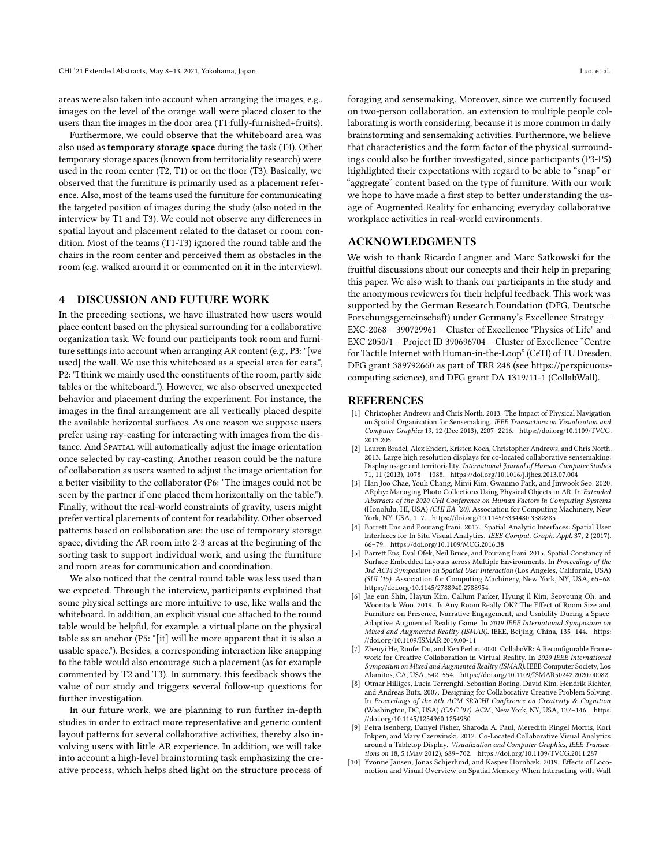areas were also taken into account when arranging the images, e.g., images on the level of the orange wall were placed closer to the users than the images in the door area (T1:fully-furnished+fruits).

 Furthermore, we could observe that the whiteboard area was also used as temporary storage space during the task (T4). Other temporary storage spaces (known from territoriality research) were used in the room center (T2, T1) or on the foor (T3). Basically, we observed that the furniture is primarily used as a placement refer- ence. Also, most of the teams used the furniture for communicating the targeted position of images during the study (also noted in the interview by T1 and T3). We could not observe any diferences in spatial layout and placement related to the dataset or room con- dition. Most of the teams (T1-T3) ignored the round table and the chairs in the room center and perceived them as obstacles in the room (e.g. walked around it or commented on it in the interview).

# 4 DISCUSSION AND FUTURE WORK

 In the preceding sections, we have illustrated how users would place content based on the physical surrounding for a collaborative organization task. We found our participants took room and furni- ture settings into account when arranging AR content (e.g., P3: "[we used] the wall. We use this whiteboard as a special area for cars.", P2: "I think we mainly used the constituents of the room, partly side tables or the whiteboard."). However, we also observed unexpected behavior and placement during the experiment. For instance, the images in the fnal arrangement are all vertically placed despite the available horizontal surfaces. As one reason we suppose users prefer using ray-casting for interacting with images from the distance. And Spatial will automatically adjust the image orientation once selected by ray-casting. Another reason could be the nature of collaboration as users wanted to adjust the image orientation for a better visibility to the collaborator (P6: "The images could not be seen by the partner if one placed them horizontally on the table."). Finally, without the real-world constraints of gravity, users might prefer vertical placements of content for readability. Other observed patterns based on collaboration are: the use of temporary storage space, dividing the AR room into 2-3 areas at the beginning of the sorting task to support individual work, and using the furniture and room areas for communication and coordination.

 We also noticed that the central round table was less used than we expected. Through the interview, participants explained that some physical settings are more intuitive to use, like walls and the whiteboard. In addition, an explicit visual cue attached to the round table would be helpful, for example, a virtual plane on the physical table as an anchor (P5: "[it] will be more apparent that it is also a usable space."). Besides, a corresponding interaction like snapping to the table would also encourage such a placement (as for example commented by T2 and T3). In summary, this feedback shows the value of our study and triggers several follow-up questions for further investigation.

 In our future work, we are planning to run further in-depth studies in order to extract more representative and generic content layout patterns for several collaborative activities, thereby also in- volving users with little AR experience. In addition, we will take into account a high-level brainstorming task emphasizing the cre-ative process, which helps shed light on the structure process of

 foraging and sensemaking. Moreover, since we currently focused on two-person collaboration, an extension to multiple people col- laborating is worth considering, because it is more common in daily brainstorming and sensemaking activities. Furthermore, we believe that characteristics and the form factor of the physical surround- ings could also be further investigated, since participants (P3-P5) highlighted their expectations with regard to be able to "snap" or "aggregate" content based on the type of furniture. With our work we hope to have made a frst step to better understanding the us- age of Augmented Reality for enhancing everyday collaborative workplace activities in real-world environments.

#### ACKNOWLEDGMENTS

 We wish to thank Ricardo Langner and Marc Satkowski for the fruitful discussions about our concepts and their help in preparing this paper. We also wish to thank our participants in the study and the anonymous reviewers for their helpful feedback. This work was supported by the German Research Foundation (DFG, Deutsche Forschungsgemeinschaft) under Germany's Excellence Strategy – EXC-2068 – 390729961 – Cluster of Excellence "Physics of Life" and EXC 2050/1 – Project ID 390696704 – Cluster of Excellence "Centre for Tactile Internet with Human-in-the-Loop" (CeTI) of TU Dresden, DFG grant 389792660 as part of TRR 248 (see [https://perspicuous-](https://perspicuous)computing.science), and DFG grant DA 1319/11-1 (CollabWall).

#### REFERENCES

- <span id="page-5-1"></span> [1] Christopher Andrews and Chris North. 2013. The Impact of Physical Navigation on Spatial Organization for Sensemaking. IEEE Transactions on Visualization and Computer Graphics 19, 12 (Dec 2013), 2207–2216. [https://doi.org/10.1109/TVCG.](https://doi.org/10.1109/TVCG.2013.205) [2013.205](https://doi.org/10.1109/TVCG.2013.205)
- <span id="page-5-2"></span> [2] Lauren Bradel, Alex Endert, Kristen Koch, Christopher Andrews, and Chris North. 2013. Large high resolution displays for co-located collaborative sensemaking: Display usage and territoriality. International Journal of Human-Computer Studies 71, 11 (2013), 1078 – 1088. <https://doi.org/10.1016/j.ijhcs.2013.07.004>
- <span id="page-5-8"></span> [3] Han Joo Chae, Youli Chang, Minji Kim, Gwanmo Park, and Jinwook Seo. 2020. ARphy: Managing Photo Collections Using Physical Objects in AR. In Extended Abstracts of the 2020 CHI Conference on Human Factors in Computing Systems (Honolulu, HI, USA) (CHI EA '20). Association for Computing Machinery, New York, NY, USA, 1–7. <https://doi.org/10.1145/3334480.3382885>
- <span id="page-5-6"></span> [4] Barrett Ens and Pourang Irani. 2017. Spatial Analytic Interfaces: Spatial User Interfaces for In Situ Visual Analytics. IEEE Comput. Graph. Appl. 37, 2 (2017), 66–79. <https://doi.org/10.1109/MCG.2016.38>
- <span id="page-5-7"></span> [5] Barrett Ens, Eyal Ofek, Neil Bruce, and Pourang Irani. 2015. Spatial Constancy of Surface-Embedded Layouts across Multiple Environments. In Proceedings of the 3rd ACM Symposium on Spatial User Interaction (Los Angeles, California, USA) (SUI '15). Association for Computing Machinery, New York, NY, USA, 65–68. <https://doi.org/10.1145/2788940.2788954>
- <span id="page-5-9"></span> [6] Jae eun Shin, Hayun Kim, Callum Parker, Hyung il Kim, Seoyoung Oh, and Woontack Woo. 2019. Is Any Room Really OK? The Efect of Room Size and Furniture on Presence, Narrative Engagement, and Usability During a Space-Adaptive Augmented Reality Game. In 2019 IEEE International Symposium on Mixed and Augmented Reality (ISMAR). IEEE, Beijing, China, 135–144. [https:](https://doi.org/10.1109/ISMAR.2019.00-11) [//doi.org/10.1109/ISMAR.2019.00-11](https://doi.org/10.1109/ISMAR.2019.00-11)
- <span id="page-5-5"></span> [7] Zhenyi He, Ruofei Du, and Ken Perlin. 2020. CollaboVR: A Reconfgurable Frame- work for Creative Collaboration in Virtual Reality. In 2020 IEEE International Symposium on Mixed and Augmented Reality (ISMAR). IEEE Computer Society, Los Alamitos, CA, USA, 542–554. <https://doi.org/10.1109/ISMAR50242.2020.00082>
- <span id="page-5-0"></span> [8] Otmar Hilliges, Lucia Terrenghi, Sebastian Boring, David Kim, Hendrik Richter, and Andreas Butz. 2007. Designing for Collaborative Creative Problem Solving. In Proceedings of the 6th ACM SIGCHI Conference on Creativity & Cognition (Washington, DC, USA) (C&C '07). ACM, New York, NY, USA, 137-146. [https:](https://doi.org/10.1145/1254960.1254980) [//doi.org/10.1145/1254960.1254980](https://doi.org/10.1145/1254960.1254980)
- <span id="page-5-4"></span> [9] Petra Isenberg, Danyel Fisher, Sharoda A. Paul, Meredith Ringel Morris, Kori Inkpen, and Mary Czerwinski. 2012. Co-Located Collaborative Visual Analytics around a Tabletop Display. Visualization and Computer Graphics, IEEE Transac-tions on 18, 5 (May 2012), 689–702. <https://doi.org/10.1109/TVCG.2011.287>
- <span id="page-5-3"></span> [10] Yvonne Jansen, Jonas Schjerlund, and Kasper Hornbæk. 2019. Efects of Loco-motion and Visual Overview on Spatial Memory When Interacting with Wall